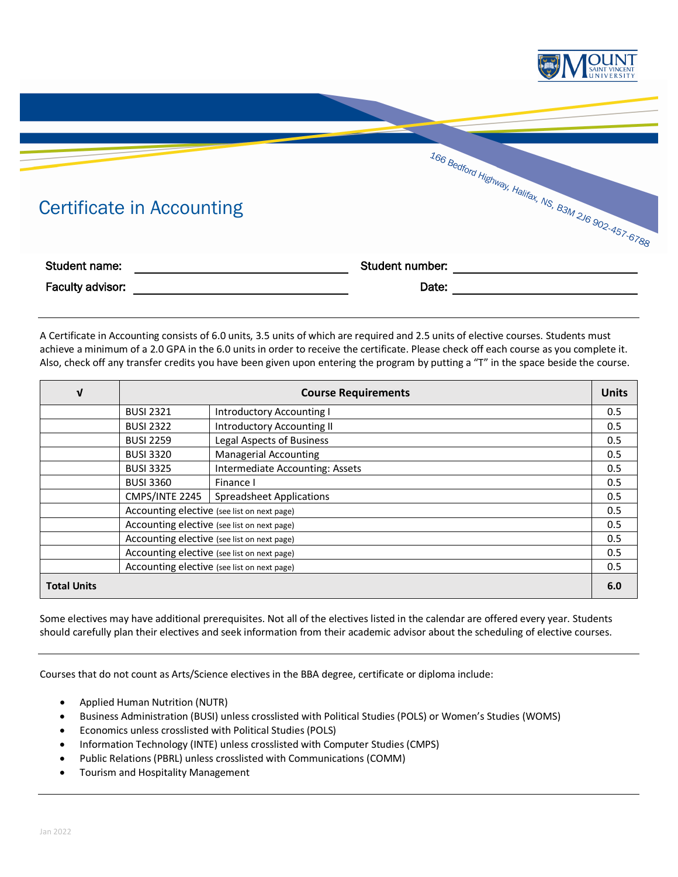

A Certificate in Accounting consists of 6.0 units, 3.5 units of which are required and 2.5 units of elective courses. Students must achieve a minimum of a 2.0 GPA in the 6.0 units in order to receive the certificate. Please check off each course as you complete it. Also, check off any transfer credits you have been given upon entering the program by putting a "T" in the space beside the course.

| V                  | <b>Course Requirements</b>                  |                                   | <b>Units</b> |
|--------------------|---------------------------------------------|-----------------------------------|--------------|
|                    | <b>BUSI 2321</b>                            | Introductory Accounting I         | 0.5          |
|                    | <b>BUSI 2322</b>                            | <b>Introductory Accounting II</b> | 0.5          |
|                    | <b>BUSI 2259</b>                            | Legal Aspects of Business         | 0.5          |
|                    | <b>BUSI 3320</b>                            | <b>Managerial Accounting</b>      | 0.5          |
|                    | <b>BUSI 3325</b>                            | Intermediate Accounting: Assets   | 0.5          |
|                    | <b>BUSI 3360</b>                            | Finance I                         | 0.5          |
|                    | CMPS/INTE 2245                              | <b>Spreadsheet Applications</b>   | 0.5          |
|                    | Accounting elective (see list on next page) |                                   | 0.5          |
|                    | Accounting elective (see list on next page) |                                   | 0.5          |
|                    | Accounting elective (see list on next page) |                                   | 0.5          |
|                    | Accounting elective (see list on next page) |                                   | 0.5          |
|                    | Accounting elective (see list on next page) |                                   | 0.5          |
| <b>Total Units</b> |                                             |                                   | 6.0          |

Some electives may have additional prerequisites. Not all of the electives listed in the calendar are offered every year. Students should carefully plan their electives and seek information from their academic advisor about the scheduling of elective courses.

Courses that do not count as Arts/Science electives in the BBA degree, certificate or diploma include:

- Applied Human Nutrition (NUTR)
- Business Administration (BUSI) unless crosslisted with Political Studies (POLS) or Women's Studies (WOMS)
- Economics unless crosslisted with Political Studies (POLS)
- Information Technology (INTE) unless crosslisted with Computer Studies (CMPS)
- Public Relations (PBRL) unless crosslisted with Communications (COMM)
- Tourism and Hospitality Management